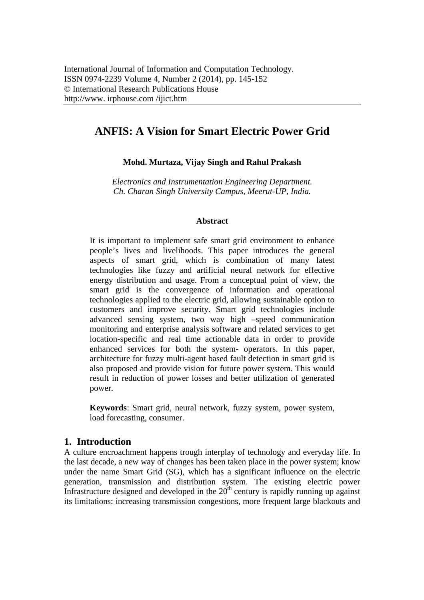# **ANFIS: A Vision for Smart Electric Power Grid**

# **Mohd. Murtaza, Vijay Singh and Rahul Prakash**

*Electronics and Instrumentation Engineering Department. Ch. Charan Singh University Campus, Meerut-UP, India.* 

## **Abstract**

It is important to implement safe smart grid environment to enhance people's lives and livelihoods. This paper introduces the general aspects of smart grid, which is combination of many latest technologies like fuzzy and artificial neural network for effective energy distribution and usage. From a conceptual point of view, the smart grid is the convergence of information and operational technologies applied to the electric grid, allowing sustainable option to customers and improve security. Smart grid technologies include advanced sensing system, two way high –speed communication monitoring and enterprise analysis software and related services to get location-specific and real time actionable data in order to provide enhanced services for both the system- operators. In this paper, architecture for fuzzy multi-agent based fault detection in smart grid is also proposed and provide vision for future power system. This would result in reduction of power losses and better utilization of generated power.

**Keywords**: Smart grid, neural network, fuzzy system, power system, load forecasting, consumer.

# **1. Introduction**

A culture encroachment happens trough interplay of technology and everyday life. In the last decade, a new way of changes has been taken place in the power system; know under the name Smart Grid (SG), which has a significant influence on the electric generation, transmission and distribution system. The existing electric power Infrastructure designed and developed in the  $20<sup>th</sup>$  century is rapidly running up against its limitations: increasing transmission congestions, more frequent large blackouts and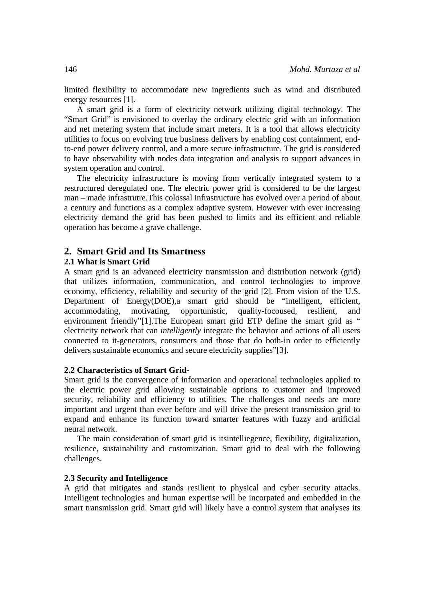limited flexibility to accommodate new ingredients such as wind and distributed energy resources [1].

A smart grid is a form of electricity network utilizing digital technology. The "Smart Grid" is envisioned to overlay the ordinary electric grid with an information and net metering system that include smart meters. It is a tool that allows electricity utilities to focus on evolving true business delivers by enabling cost containment, endto-end power delivery control, and a more secure infrastructure. The grid is considered to have observability with nodes data integration and analysis to support advances in system operation and control.

The electricity infrastructure is moving from vertically integrated system to a restructured deregulated one. The electric power grid is considered to be the largest man – made infrastrutre.This colossal infrastructure has evolved over a period of about a century and functions as a complex adaptive system. However with ever increasing electricity demand the grid has been pushed to limits and its efficient and reliable operation has become a grave challenge.

## **2. Smart Grid and Its Smartness**

## **2.1 What is Smart Grid**

A smart grid is an advanced electricity transmission and distribution network (grid) that utilizes information, communication, and control technologies to improve economy, efficiency, reliability and security of the grid [2]. From vision of the U.S. Department of Energy(DOE),a smart grid should be "intelligent, efficient, accommodating, motivating, opportunistic, quality-focoused, resilient, and environment friendly"[1]. The European smart grid ETP define the smart grid as " electricity network that can *intelligently* integrate the behavior and actions of all users connected to it-generators, consumers and those that do both-in order to efficiently delivers sustainable economics and secure electricity supplies"[3].

#### **2.2 Characteristics of Smart Grid-**

Smart grid is the convergence of information and operational technologies applied to the electric power grid allowing sustainable options to customer and improved security, reliability and efficiency to utilities. The challenges and needs are more important and urgent than ever before and will drive the present transmission grid to expand and enhance its function toward smarter features with fuzzy and artificial neural network.

The main consideration of smart grid is itsintelliegence, flexibility, digitalization, resilience, sustainability and customization. Smart grid to deal with the following challenges.

#### **2.3 Security and Intelligence**

A grid that mitigates and stands resilient to physical and cyber security attacks. Intelligent technologies and human expertise will be incorpated and embedded in the smart transmission grid. Smart grid will likely have a control system that analyses its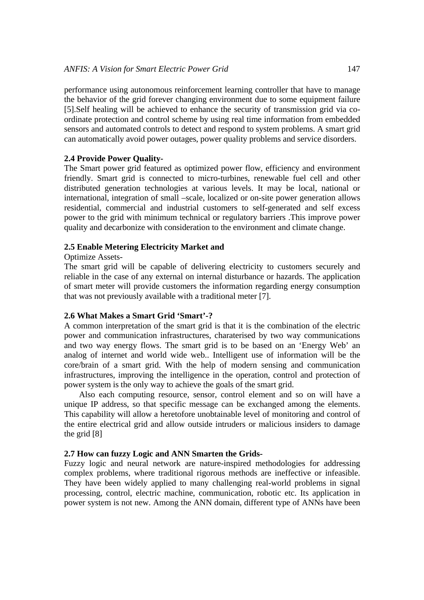performance using autonomous reinforcement learning controller that have to manage the behavior of the grid forever changing environment due to some equipment failure [5].Self healing will be achieved to enhance the security of transmission grid via coordinate protection and control scheme by using real time information from embedded sensors and automated controls to detect and respond to system problems. A smart grid can automatically avoid power outages, power quality problems and service disorders.

## **2.4 Provide Power Quality-**

The Smart power grid featured as optimized power flow, efficiency and environment friendly. Smart grid is connected to micro-turbines, renewable fuel cell and other distributed generation technologies at various levels. It may be local, national or international, integration of small –scale, localized or on-site power generation allows residential, commercial and industrial customers to self-generated and self excess power to the grid with minimum technical or regulatory barriers .This improve power quality and decarbonize with consideration to the environment and climate change.

## **2.5 Enable Metering Electricity Market and**

#### Optimize Assets-

The smart grid will be capable of delivering electricity to customers securely and reliable in the case of any external on internal disturbance or hazards. The application of smart meter will provide customers the information regarding energy consumption that was not previously available with a traditional meter [7].

## **2.6 What Makes a Smart Grid 'Smart'-?**

A common interpretation of the smart grid is that it is the combination of the electric power and communication infrastructures, charaterised by two way communications and two way energy flows. The smart grid is to be based on an 'Energy Web' an analog of internet and world wide web.. Intelligent use of information will be the core/brain of a smart grid. With the help of modern sensing and communication infrastructures, improving the intelligence in the operation, control and protection of power system is the only way to achieve the goals of the smart grid.

 Also each computing resource, sensor, control element and so on will have a unique IP address, so that specific message can be exchanged among the elements. This capability will allow a heretofore unobtainable level of monitoring and control of the entire electrical grid and allow outside intruders or malicious insiders to damage the grid [8]

## **2.7 How can fuzzy Logic and ANN Smarten the Grids-**

Fuzzy logic and neural network are nature-inspired methodologies for addressing complex problems, where traditional rigorous methods are ineffective or infeasible. They have been widely applied to many challenging real-world problems in signal processing, control, electric machine, communication, robotic etc. Its application in power system is not new. Among the ANN domain, different type of ANNs have been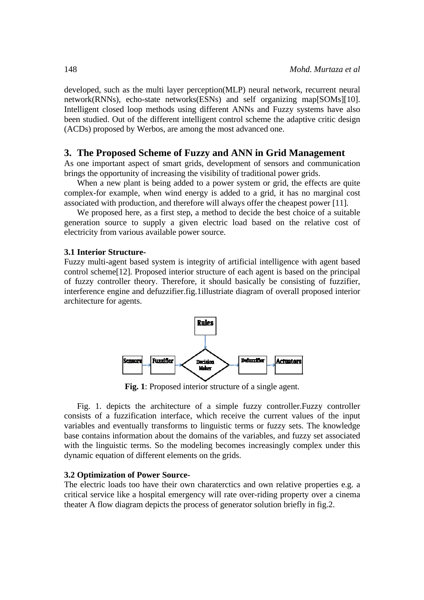developed, such as the multi layer perception(MLP) neural network, recurrent neural network(RNNs), echo-state networks(ESNs) and self organizing map[SOMs][10]. Intelligent closed loop methods using different ANNs and Fuzzy systems have also been studied. Out of the different intelligent control scheme the adaptive critic design (ACDs) proposed by Werbos, are among the most advanced one.

## 3. The Proposed Scheme of Fuzzy and ANN in Grid Management

As one important aspect of smart grids, development of sensors and communication brings the opportunity of increasing the visibility of traditional power grids.

When a new plant is being added to a power system or grid, the effects are quite complex-for example, when wind energy is added to a grid, it has no marginal cost associated with production, and therefore will always offer the cheapest power [11].

We proposed here, as a first step, a method to decide the best choice of a suitable generation source to supply a given electric load based on the relative cost of electricity from various available power source.

#### **3.1 Interior Structure-**

Fuzzy multi-agent based system is integrity of artificial intelligence with agent based control scheme [12]. Proposed interior structure of each agent is based on the principal of fuzzy controller theory. Therefore, it should basically be consisting of fuzzifier, interference engine and defuzzifier.fig.1illustriate diagram of overall proposed interior architecture for agents.



Fig. 1: Proposed interior structure of a single agent.

Fig. 1. depicts the architecture of a simple fuzzy controller. Fuzzy controller consists of a fuzzification interface, which receive the current values of the input variables and eventually transforms to linguistic terms or fuzzy sets. The knowledge base contains information about the domains of the variables, and fuzzy set associated with the linguistic terms. So the modeling becomes increasingly complex under this dynamic equation of different elements on the grids.

### **3.2 Optimization of Power Source-**

The electric loads too have their own characterctics and own relative properties e.g. a critical service like a hospital emergency will rate over-riding property over a cinema theater A flow diagram depicts the process of generator solution briefly in fig.2.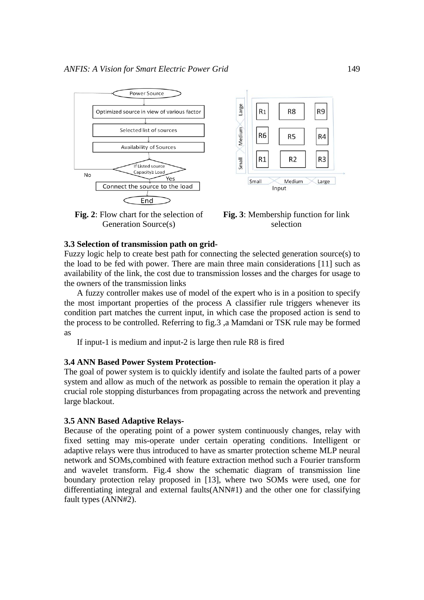

**Fig. 2**: Flow chart for the selection of Generation Source(s)



**Fig. 3**: Membership function for link selection

#### **3.3 Selection of transmission path on grid-**

Fuzzy logic help to create best path for connecting the selected generation source(s) to the load to be fed with power. There are main three main considerations [11] such as availability of the link, the cost due to transmission losses and the charges for usage to the owners of the transmission links

A fuzzy controller makes use of model of the expert who is in a position to specify the most important properties of the process A classifier rule triggers whenever its condition part matches the current input, in which case the proposed action is send to the process to be controlled. Referring to fig.3 ,a Mamdani or TSK rule may be formed as

If input-1 is medium and input-2 is large then rule R8 is fired

## **3.4 ANN Based Power System Protection-**

The goal of power system is to quickly identify and isolate the faulted parts of a power system and allow as much of the network as possible to remain the operation it play a crucial role stopping disturbances from propagating across the network and preventing large blackout.

#### **3.5 ANN Based Adaptive Relays-**

Because of the operating point of a power system continuously changes, relay with fixed setting may mis-operate under certain operating conditions. Intelligent or adaptive relays were thus introduced to have as smarter protection scheme MLP neural network and SOMs,combined with feature extraction method such a Fourier transform and wavelet transform. Fig.4 show the schematic diagram of transmission line boundary protection relay proposed in [13], where two SOMs were used, one for differentiating integral and external faults(ANN#1) and the other one for classifying fault types (ANN#2).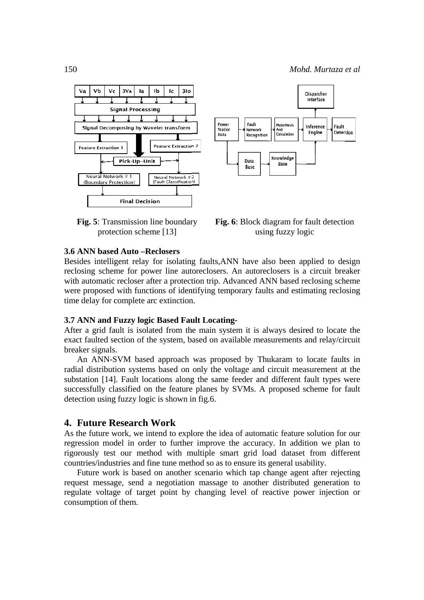





Fig. 6: Block diagram for fault detection using fuzzy logic

#### **3.6 ANN based Auto -Reclosers**

Besides intelligent relay for isolating faults, ANN have also been applied to design reclosing scheme for power line autoreclosers. An autoreclosers is a circuit breaker with automatic recloser after a protection trip. Advanced ANN based reclosing scheme were proposed with functions of identifying temporary faults and estimating reclosing time delay for complete arc extinction.

#### 3.7 ANN and Fuzzy logic Based Fault Locating-

After a grid fault is isolated from the main system it is always desired to locate the exact faulted section of the system, based on available measurements and relay/circuit breaker signals.

An ANN-SVM based approach was proposed by Thukaram to locate faults in radial distribution systems based on only the voltage and circuit measurement at the substation [14]. Fault locations along the same feeder and different fault types were successfully classified on the feature planes by SVMs. A proposed scheme for fault detection using fuzzy logic is shown in fig.6.

### 4. Future Research Work

As the future work, we intend to explore the idea of automatic feature solution for our regression model in order to further improve the accuracy. In addition we plan to rigorously test our method with multiple smart grid load dataset from different countries/industries and fine tune method so as to ensure its general usability.

Future work is based on another scenario which tap change agent after rejecting request message, send a negotiation massage to another distributed generation to regulate voltage of target point by changing level of reactive power injection or consumption of them.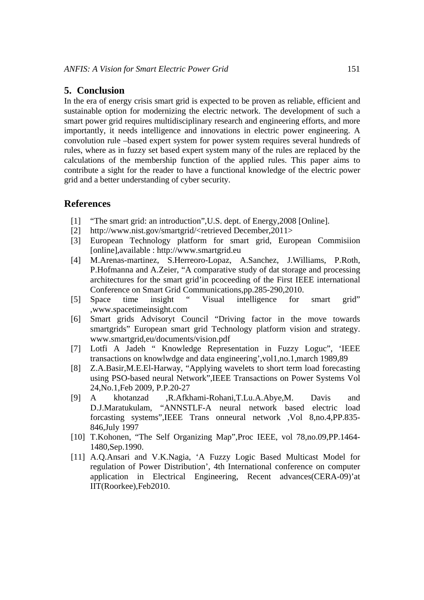# **5. Conclusion**

In the era of energy crisis smart grid is expected to be proven as reliable, efficient and sustainable option for modernizing the electric network. The development of such a smart power grid requires multidisciplinary research and engineering efforts, and more importantly, it needs intelligence and innovations in electric power engineering. A convolution rule –based expert system for power system requires several hundreds of rules, where as in fuzzy set based expert system many of the rules are replaced by the calculations of the membership function of the applied rules. This paper aims to contribute a sight for the reader to have a functional knowledge of the electric power grid and a better understanding of cyber security.

# **References**

- [1] "The smart grid: an introduction", U.S. dept. of Energy, 2008 [Online].
- [2] http://www.nist.gov/smartgrid/<retrieved December,2011>
- [3] European Technology platform for smart grid, European Commisiion [online],available : http://www.smartgrid.eu
- [4] M.Arenas-martinez, S.Herreoro-Lopaz, A.Sanchez, J.Williams, P.Roth, P.Hofmanna and A.Zeier, "A comparative study of dat storage and processing architectures for the smart grid'in pcoceeding of the First IEEE international Conference on Smart Grid Communications,pp.285-290,2010.
- [5] Space time insight " Visual intelligence for smart grid" ,www.spacetimeinsight.com
- [6] Smart grids Advisoryt Council "Driving factor in the move towards smartgrids" European smart grid Technology platform vision and strategy. www.smartgrid,eu/documents/vision.pdf
- [7] Lotfi A Jadeh " Knowledge Representation in Fuzzy Loguc", 'IEEE transactions on knowlwdge and data engineering',vol1,no.1,march 1989,89
- [8] Z.A.Basir,M.E.El-Harway, "Applying wavelets to short term load forecasting using PSO-based neural Network",IEEE Transactions on Power Systems Vol 24,No.1,Feb 2009, P.P.20-27
- [9] A khotanzad ,R.Afkhami-Rohani,T.Lu.A.Abye,M. Davis and D.J.Maratukulam, "ANNSTLF-A neural network based electric load forcasting systems",IEEE Trans onneural network ,Vol 8,no.4,PP.835- 846,July 1997
- [10] T.Kohonen, "The Self Organizing Map", Proc IEEE, vol 78, no. 09, PP. 1464-1480,Sep.1990.
- [11] A.Q.Ansari and V.K.Nagia, 'A Fuzzy Logic Based Multicast Model for regulation of Power Distribution', 4th International conference on computer application in Electrical Engineering, Recent advances(CERA-09)'at IIT(Roorkee),Feb2010.